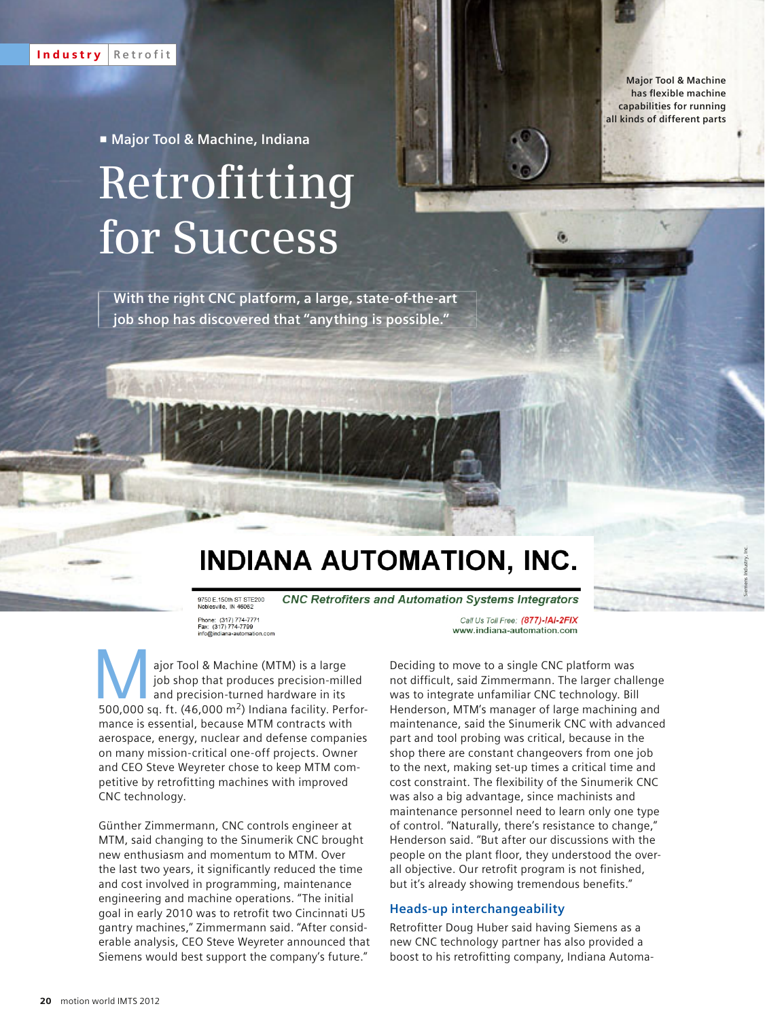**Major Tool & Machine**  has flexible machine **capabilities for running all kinds of different parts**

Siemens Industry, Inc.

p **Major Tool & Machine, Indiana**

# **Retrofitting for Success**

**With the right CNC platform, a large, state-of-the-art job shop has discovered that "anything is possible."**

# INDIANA AUTOMATION, INC.

**CNC Retrofiters and Automation Systems Integrators** 9750 E.150th ST STE200 Noblesville, IN 46062 Phone: (317) 774-7771<br>Fax: (317) 774-7799 info@indiana-automation.com

Call Us Toll Free: (877)-IAI-2FIX www.indiana-automation.com

ajor Tool & Machine (MTM) is a large<br>
job shop that produces precision-milled<br>
and precision-turned hardware in its<br>
500,000 sq. ft. (46,000 m<sup>2</sup>) Indiana facility. Perforjob shop that produces precision-milled and precision-turned hardware in its mance is essential, because MTM contracts with aerospace, energy, nuclear and defense companies on many mission-critical one-off projects. Owner and CEO Steve Weyreter chose to keep MTM competitive by retrofitting machines with improved CNC technology.

Günther Zimmermann, CNC controls engineer at MTM, said changing to the Sinumerik CNC brought new enthusiasm and momentum to MTM. Over the last two years, it significantly reduced the time and cost involved in programming, maintenance engineering and machine operations. "The initial goal in early 2010 was to retrofit two Cincinnati U5 gantry machines," Zimmermann said. "After considerable analysis, CEO Steve Weyreter announced that Siemens would best support the company's future."

Deciding to move to a single CNC platform was not difficult, said Zimmermann. The larger challenge was to integrate unfamiliar CNC technology. Bill Henderson, MTM's manager of large machining and maintenance, said the Sinumerik CNC with advanced part and tool probing was critical, because in the shop there are constant changeovers from one job to the next, making set-up times a critical time and cost constraint. The flexibility of the Sinumerik CNC was also a big advantage, since machinists and maintenance personnel need to learn only one type of control. "Naturally, there's resistance to change," Henderson said. "But after our discussions with the people on the plant floor, they understood the overall objective. Our retrofit program is not finished, but it's already showing tremendous benefits."

## **Heads-up interchangeability**

Retrofitter Doug Huber said having Siemens as a new CNC technology partner has also provided a boost to his retrofitting company, Indiana Automa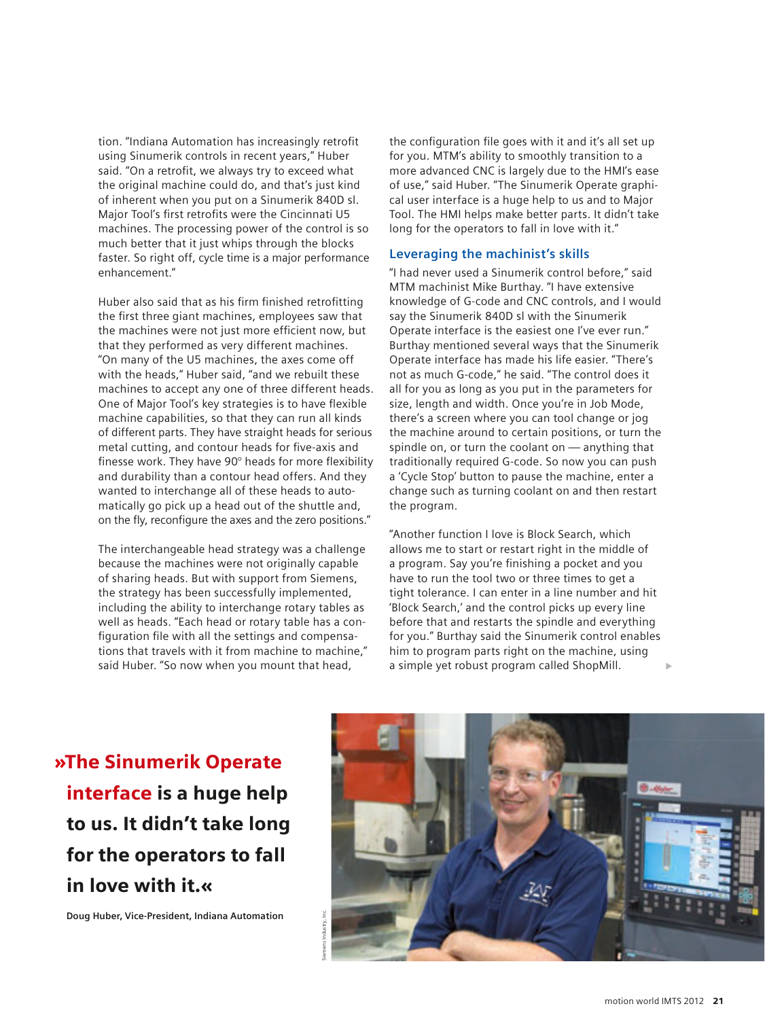tion. "Indiana Automation has increasingly retrofit using Sinumerik controls in recent years," Huber said. "On a retrofit, we always try to exceed what the original machine could do, and that's just kind of inherent when you put on a Sinumerik 840D sl. Major Tool's first retrofits were the Cincinnati U5 machines. The processing power of the control is so much better that it just whips through the blocks faster. So right off, cycle time is a major performance enhancement."

Huber also said that as his firm finished retrofitting the first three giant machines, employees saw that the machines were not just more efficient now, but that they performed as very different machines. "On many of the U5 machines, the axes come off with the heads," Huber said, "and we rebuilt these machines to accept any one of three different heads. One of Major Tool's key strategies is to have flexible machine capabilities, so that they can run all kinds of different parts. They have straight heads for serious metal cutting, and contour heads for five-axis and finesse work. They have  $90^\circ$  heads for more flexibility and durability than a contour head offers. And they wanted to interchange all of these heads to automatically go pick up a head out of the shuttle and, on the fly, reconfigure the axes and the zero positions."

The interchangeable head strategy was a challenge because the machines were not originally capable of sharing heads. But with support from Siemens, the strategy has been successfully implemented, including the ability to interchange rotary tables as well as heads. "Each head or rotary table has a configuration file with all the settings and compensations that travels with it from machine to machine," said Huber. "So now when you mount that head,

the configuration file goes with it and it's all set up for you. MTM's ability to smoothly transition to a more advanced CNC is largely due to the HMI's ease of use," said Huber. "The Sinumerik Operate graphical user interface is a huge help to us and to Major Tool. The HMI helps make better parts. It didn't take long for the operators to fall in love with it."

## **Leveraging the machinist's skills**

"I had never used a Sinumerik control before," said MTM machinist Mike Burthay. "I have extensive knowledge of G-code and CNC controls, and I would say the Sinumerik 840D sl with the Sinumerik Operate interface is the easiest one I've ever run." Burthay mentioned several ways that the Sinumerik Operate interface has made his life easier. "There's not as much G-code," he said. "The control does it all for you as long as you put in the parameters for size, length and width. Once you're in Job Mode, there's a screen where you can tool change or jog the machine around to certain positions, or turn the spindle on, or turn the coolant on — anything that traditionally required G-code. So now you can push a 'Cycle Stop' button to pause the machine, enter a change such as turning coolant on and then restart the program.

"Another function I love is Block Search, which allows me to start or restart right in the middle of a program. Say you're finishing a pocket and you have to run the tool two or three times to get a tight tolerance. I can enter in a line number and hit 'Block Search,' and the control picks up every line before that and restarts the spindle and everything for you." Burthay said the Sinumerik control enables him to program parts right on the machine, using a simple yet robust program called ShopMill.

»The Sinumerik Operate interface is a huge help to us. It didn't take long for the operators to fall in love with it.«

**Doug Huber, Vice-President, Indiana Automation**

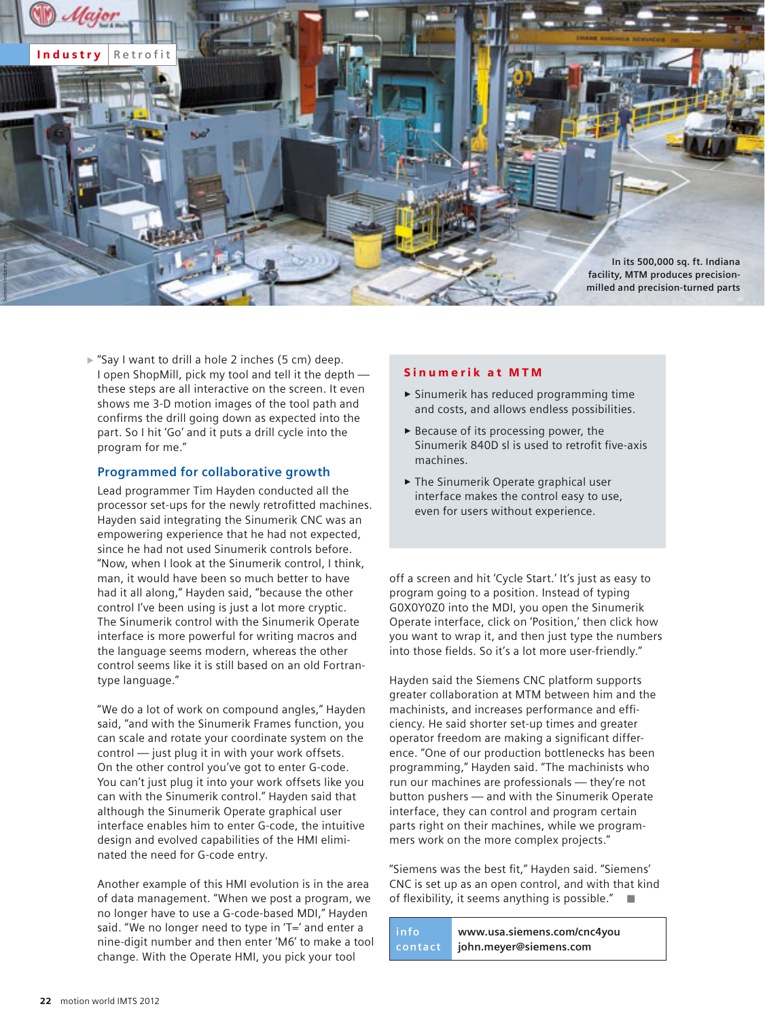

 $\triangleright$  "Say I want to drill a hole 2 inches (5 cm) deep. I open ShopMill, pick my tool and tell it the depth these steps are all interactive on the screen. It even shows me 3-D motion images of the tool path and confirms the drill going down as expected into the part. So I hit 'Go' and it puts a drill cycle into the program for me."

# **Programmed for collaborative growth**

Lead programmer Tim Hayden conducted all the processor set-ups for the newly retrofitted machines. Hayden said integrating the Sinumerik CNC was an empowering experience that he had not expected, since he had not used Sinumerik controls before. "Now, when I look at the Sinumerik control, I think, man, it would have been so much better to have had it all along," Hayden said, "because the other control I've been using is just a lot more cryptic. The Sinumerik control with the Sinumerik Operate interface is more powerful for writing macros and the language seems modern, whereas the other control seems like it is still based on an old Fortrantype language."

"We do a lot of work on compound angles," Hayden said, "and with the Sinumerik Frames function, you can scale and rotate your coordinate system on the control — just plug it in with your work offsets. On the other control you've got to enter G-code. You can't just plug it into your work offsets like you can with the Sinumerik control." Hayden said that although the Sinumerik Operate graphical user interface enables him to enter G-code, the intuitive design and evolved capabilities of the HMI eliminated the need for G-code entry.

Another example of this HMI evolution is in the area of data management. "When we post a program, we no longer have to use a G-code-based MDI," Hayden said. "We no longer need to type in 'T=' and enter a nine-digit number and then enter 'M6' to make a tool change. With the Operate HMI, you pick your tool

#### Sinumerik at MTM

- $\blacktriangleright$  Sinumerik has reduced programming time and costs, and allows endless possibilities.
- $\blacktriangleright$  Because of its processing power, the Sinumerik 840D sl is used to retrofit five-axis machines.
- $\blacktriangleright$  The Sinumerik Operate graphical user interface makes the control easy to use, even for users without experience.

off a screen and hit 'Cycle Start.' It's just as easy to program going to a position. Instead of typing G0X0Y0Z0 into the MDI, you open the Sinumerik Operate interface, click on 'Position,' then click how you want to wrap it, and then just type the numbers into those fields. So it's a lot more user-friendly."

Hayden said the Siemens CNC platform supports greater collaboration at MTM between him and the machinists, and increases performance and efficiency. He said shorter set-up times and greater operator freedom are making a significant difference. "One of our production bottlenecks has been programming," Hayden said. "The machinists who run our machines are professionals — they're not button pushers — and with the Sinumerik Operate interface, they can control and program certain parts right on their machines, while we programmers work on the more complex projects."

"Siemens was the best fit," Hayden said. "Siemens' CNC is set up as an open control, and with that kind of flexibility, it seems anything is possible." $\square$ 

**info contact www.usa.siemens.com/cnc4you john.meyer@siemens.com**